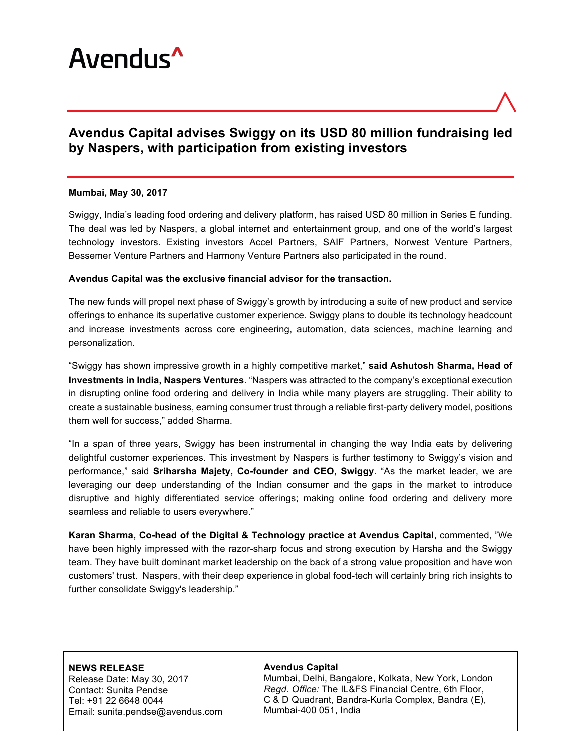

# **Avendus Capital advises Swiggy on its USD 80 million fundraising led by Naspers, with participation from existing investors**

### **Mumbai, May 30, 2017**

Swiggy, India's leading food ordering and delivery platform, has raised USD 80 million in Series E funding. The deal was led by Naspers, a global internet and entertainment group, and one of the world's largest technology investors. Existing investors Accel Partners, SAIF Partners, Norwest Venture Partners, Bessemer Venture Partners and Harmony Venture Partners also participated in the round.

## **Avendus Capital was the exclusive financial advisor for the transaction.**

The new funds will propel next phase of Swiggy's growth by introducing a suite of new product and service offerings to enhance its superlative customer experience. Swiggy plans to double its technology headcount and increase investments across core engineering, automation, data sciences, machine learning and personalization.

"Swiggy has shown impressive growth in a highly competitive market," **said Ashutosh Sharma, Head of Investments in India, Naspers Ventures**. "Naspers was attracted to the company's exceptional execution in disrupting online food ordering and delivery in India while many players are struggling. Their ability to create a sustainable business, earning consumer trust through a reliable first-party delivery model, positions them well for success," added Sharma.

"In a span of three years, Swiggy has been instrumental in changing the way India eats by delivering delightful customer experiences. This investment by Naspers is further testimony to Swiggy's vision and performance," said **Sriharsha Majety, Co-founder and CEO, Swiggy**. "As the market leader, we are leveraging our deep understanding of the Indian consumer and the gaps in the market to introduce disruptive and highly differentiated service offerings; making online food ordering and delivery more seamless and reliable to users everywhere."

**Karan Sharma, Co-head of the Digital & Technology practice at Avendus Capital**, commented, "We have been highly impressed with the razor-sharp focus and strong execution by Harsha and the Swiggy team. They have built dominant market leadership on the back of a strong value proposition and have won customers' trust. Naspers, with their deep experience in global food-tech will certainly bring rich insights to further consolidate Swiggy's leadership."

**NEWS RELEASE** Release Date: May 30, 2017 Contact: Sunita Pendse Tel: +91 22 6648 0044 Email: sunita.pendse@avendus.com

#### **Avendus Capital**

Mumbai, Delhi, Bangalore, Kolkata, New York, London *Regd. Office:* The IL&FS Financial Centre, 6th Floor, C & D Quadrant, Bandra-Kurla Complex, Bandra (E), Mumbai-400 051, India